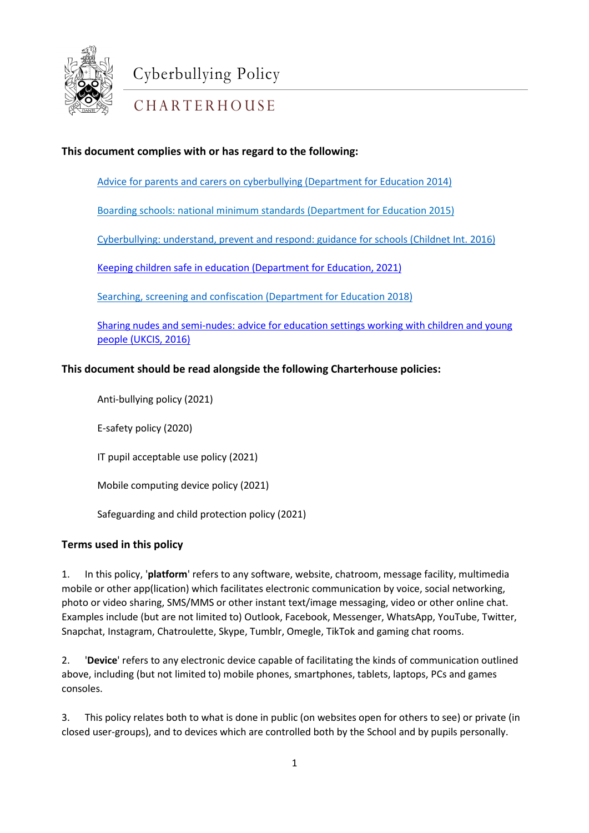

# CHARTERHOUSE

### **This document complies with or has regard to the following:**

[Advice for parents and carers on cyberbullying \(Department for Education 2014\)](https://www.gov.uk/government/uploads/system/uploads/attachment_data/file/444865/Advice_for_parents_on_cyberbullying.pdf)

[Boarding schools: national minimum standards \(Department for Education 2015\)](https://www.gov.uk/government/uploads/system/uploads/attachment_data/file/416186/20150319_nms_bs_standards.pdf)

[Cyberbullying: understand, prevent and respond: guidance for](http://www.childnet.com/ufiles/Cyberbullying-guidance2.pdf) schools (Childnet Int. 2016)

[Keeping children safe in education \(Department for Education, 2021\)](https://assets.publishing.service.gov.uk/government/uploads/system/uploads/attachment_data/file/1021914/KCSIE_2021_September_guidance.pdf)

[Searching, screening and confiscation \(Department for Education 2018\)](https://www.gov.uk/government/uploads/system/uploads/attachment_data/file/554415/searching_screening_confiscation_advice_Sept_2016.pdf)

[Sharing nudes and semi-nudes: advice for education settings working with children and young](https://www.gov.uk/government/publications/sharing-nudes-and-semi-nudes-advice-for-education-settings-working-with-children-and-young-people/sharing-nudes-and-semi-nudes-advice-for-education-settings-working-with-children-and-young-people)  [people \(UKCIS, 2016\)](https://www.gov.uk/government/publications/sharing-nudes-and-semi-nudes-advice-for-education-settings-working-with-children-and-young-people/sharing-nudes-and-semi-nudes-advice-for-education-settings-working-with-children-and-young-people)

#### **This document should be read alongside the following Charterhouse policies:**

Anti-bullying policy (2021)

E-safety policy (2020)

IT pupil acceptable use policy (2021)

Mobile computing device policy (2021)

Safeguarding and child protection policy (2021)

#### **Terms used in this policy**

mobile or other app(lication) which facilitates electronic communication by voice, social networking, 1. In this policy, '**platform**' refers to any software, website, chatroom, message facility, multimedia photo or video sharing, SMS/MMS or other instant text/image messaging, video or other online chat. Examples include (but are not limited to) Outlook, Facebook, Messenger, WhatsApp, YouTube, Twitter, Snapchat, Instagram, Chatroulette, Skype, Tumblr, Omegle, TikTok and gaming chat rooms.

2. '**Device**' refers to any electronic device capable of facilitating the kinds of communication outlined above, including (but not limited to) mobile phones, smartphones, tablets, laptops, PCs and games consoles.

3. This policy relates both to what is done in public (on websites open for others to see) or private (in closed user-groups), and to devices which are controlled both by the School and by pupils personally.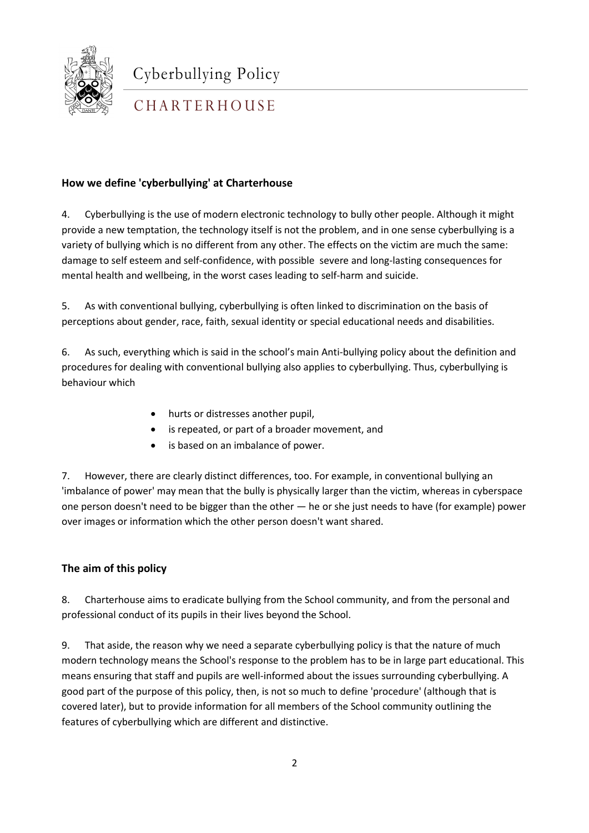

## CHARTERHOUSE

#### **How we define 'cyberbullying' at Charterhouse**

4. Cyberbullying is the use of modern electronic technology to bully other people. Although it might provide a new temptation, the technology itself is not the problem, and in one sense cyberbullying is a variety of bullying which is no different from any other. The effects on the victim are much the same: damage to self esteem and self-confidence, with possible severe and long-lasting consequences for mental health and wellbeing, in the worst cases leading to self-harm and suicide.

5. As with conventional bullying, cyberbullying is often linked to discrimination on the basis of perceptions about gender, race, faith, sexual identity or special educational needs and disabilities.

6. As such, everything which is said in the school's main Anti-bullying policy about the definition and procedures for dealing with conventional bullying also applies to cyberbullying. Thus, cyberbullying is behaviour which

- hurts or distresses another pupil,
- is repeated, or part of a broader movement, and
- is based on an imbalance of power.

7. However, there are clearly distinct differences, too. For example, in conventional bullying an 'imbalance of power' may mean that the bully is physically larger than the victim, whereas in cyberspace one person doesn't need to be bigger than the other — he or she just needs to have (for example) power over images or information which the other person doesn't want shared.

#### **The aim of this policy**

8. Charterhouse aims to eradicate bullying from the School community, and from the personal and professional conduct of its pupils in their lives beyond the School.

9. That aside, the reason why we need a separate cyberbullying policy is that the nature of much modern technology means the School's response to the problem has to be in large part educational. This means ensuring that staff and pupils are well-informed about the issues surrounding cyberbullying. A good part of the purpose of this policy, then, is not so much to define 'procedure' (although that is covered later), but to provide information for all members of the School community outlining the features of cyberbullying which are different and distinctive.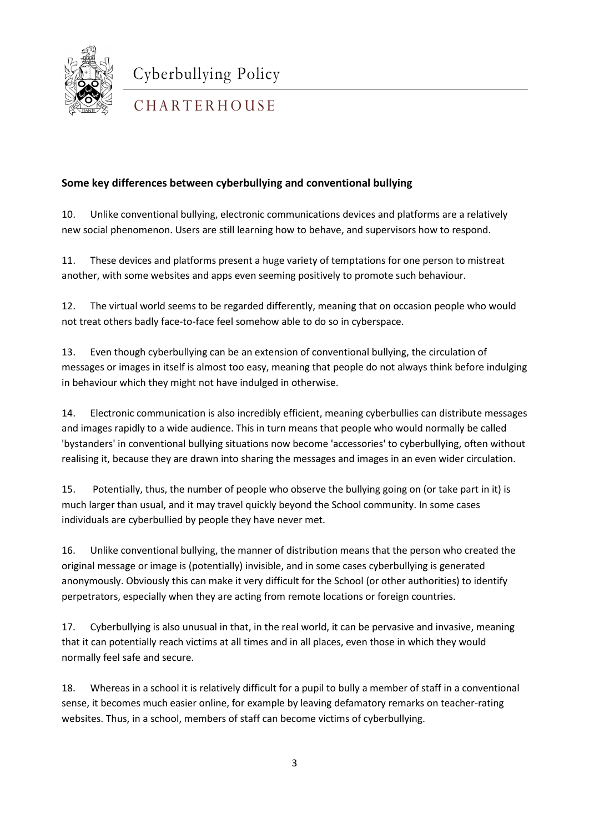

## **CHARTERHOUSE**

#### **Some key differences between cyberbullying and conventional bullying**

10. Unlike conventional bullying, electronic communications devices and platforms are a relatively new social phenomenon. Users are still learning how to behave, and supervisors how to respond.

11. These devices and platforms present a huge variety of temptations for one person to mistreat another, with some websites and apps even seeming positively to promote such behaviour.

12. The virtual world seems to be regarded differently, meaning that on occasion people who would not treat others badly face-to-face feel somehow able to do so in cyberspace.

13. Even though cyberbullying can be an extension of conventional bullying, the circulation of messages or images in itself is almost too easy, meaning that people do not always think before indulging in behaviour which they might not have indulged in otherwise.

14. Electronic communication is also incredibly efficient, meaning cyberbullies can distribute messages and images rapidly to a wide audience. This in turn means that people who would normally be called 'bystanders' in conventional bullying situations now become 'accessories' to cyberbullying, often without realising it, because they are drawn into sharing the messages and images in an even wider circulation.

15. Potentially, thus, the number of people who observe the bullying going on (or take part in it) is much larger than usual, and it may travel quickly beyond the School community. In some cases individuals are cyberbullied by people they have never met.

anonymously. Obviously this can make it very difficult for the School (or other authorities) to identify<br>accepted to the second line and the second for the second leading to the second state of the second to the second 16. Unlike conventional bullying, the manner of distribution means that the person who created the original message or image is (potentially) invisible, and in some cases cyberbullying is generated perpetrators, especially when they are acting from remote locations or foreign countries.

17. Cyberbullying is also unusual in that, in the real world, it can be pervasive and invasive, meaning that it can potentially reach victims at all times and in all places, even those in which they would normally feel safe and secure.

18. Whereas in a school it is relatively difficult for a pupil to bully a member of staff in a conventional sense, it becomes much easier online, for example by leaving defamatory remarks on teacher-rating websites. Thus, in a school, members of staff can become victims of cyberbullying.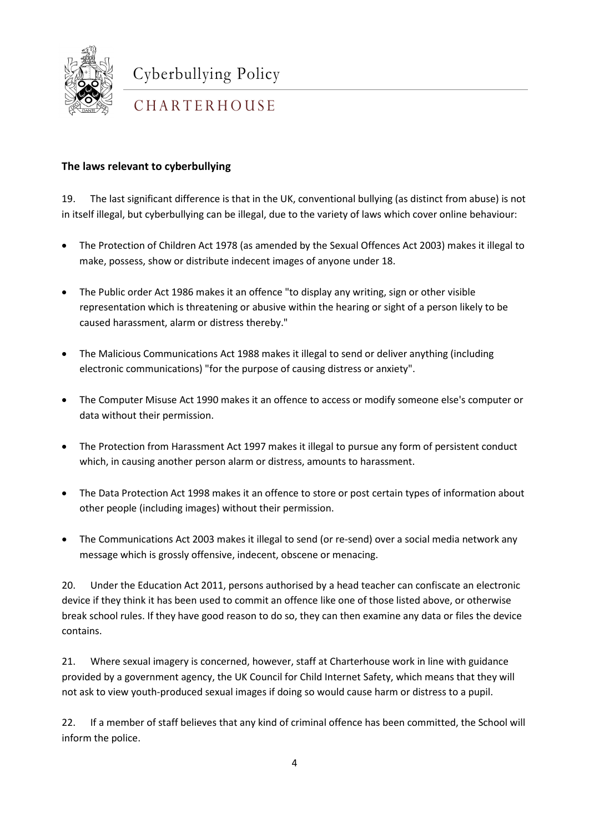

## CHARTERHOUSE

#### **The laws relevant to cyberbullying**

19. The last significant difference is that in the UK, conventional bullying (as distinct from abuse) is not in itself illegal, but cyberbullying can be illegal, due to the variety of laws which cover online behaviour:

- The Protection of Children Act 1978 (as amended by the Sexual Offences Act 2003) makes it illegal to make, possess, show or distribute indecent images of anyone under 18.
- The Public order Act 1986 makes it an offence "to display any writing, sign or other visible representation which is threatening or abusive within the hearing or sight of a person likely to be caused harassment, alarm or distress thereby."
- The Malicious Communications Act 1988 makes it illegal to send or deliver anything (including electronic communications) "for the purpose of causing distress or anxiety".
- The Computer Misuse Act 1990 makes it an offence to access or modify someone else's computer or data without their permission.
- The Protection from Harassment Act 1997 makes it illegal to pursue any form of persistent conduct which, in causing another person alarm or distress, amounts to harassment.
- The Data Protection Act 1998 makes it an offence to store or post certain types of information about other people (including images) without their permission.
- The Communications Act 2003 makes it illegal to send (or re-send) over a social media network any message which is grossly offensive, indecent, obscene or menacing.

 $20.$ 20. Under the Education Act 2011, persons authorised by a head teacher can confiscate an electronic device if they think it has been used to commit an offence like one of those listed above, or otherwise break school rules. If they have good reason to do so, they can then examine any data or files the device contains.

21. Where sexual imagery is concerned, however, staff at Charterhouse work in line with guidance provided by a government agency, the UK Council for Child Internet Safety, which means that they will not ask to view youth-produced sexual images if doing so would cause harm or distress to a pupil.

22. If a member of staff believes that any kind of criminal offence has been committed, the School will inform the police.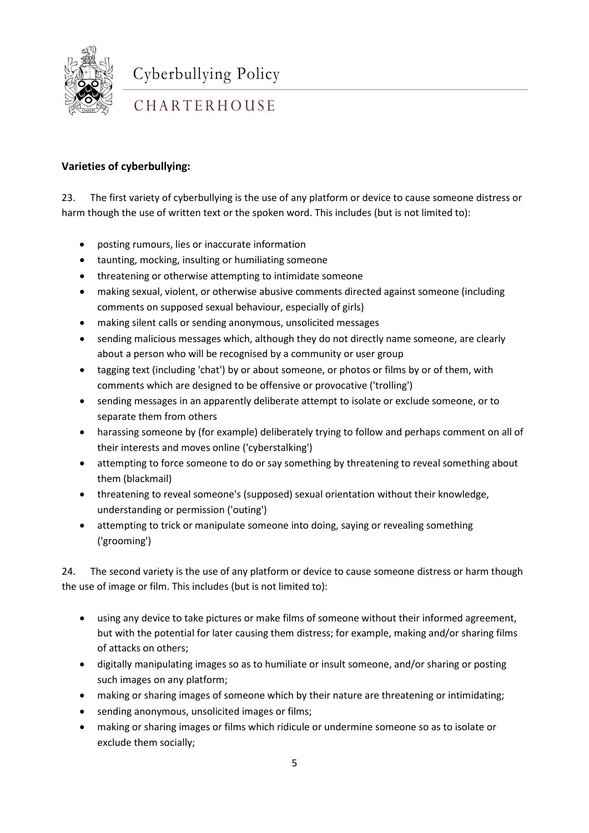

## CHARTERHOUSE

#### **Varieties of cyberbullying:**

23. The first variety of cyberbullying is the use of any platform or device to cause someone distress or harm though the use of written text or the spoken word. This includes (but is not limited to):

- posting rumours, lies or inaccurate information
- taunting, mocking, insulting or humiliating someone
- threatening or otherwise attempting to intimidate someone
- making sexual, violent, or otherwise abusive comments directed against someone (including comments on supposed sexual behaviour, especially of girls)
- making silent calls or sending anonymous, unsolicited messages
- sending malicious messages which, although they do not directly name someone, are clearly about a person who will be recognised by a community or user group
- tagging text (including 'chat') by or about someone, or photos or films by or of them, with comments which are designed to be offensive or provocative ('trolling')
- sending messages in an apparently deliberate attempt to isolate or exclude someone, or to separate them from others
- harassing someone by (for example) deliberately trying to follow and perhaps comment on all of their interests and moves online ('cyberstalking')
- attempting to force someone to do or say something by threatening to reveal something about them (blackmail)
- threatening to reveal someone's (supposed) sexual orientation without their knowledge, understanding or permission ('outing')
- attempting to trick or manipulate someone into doing, saying or revealing something ('grooming')

1 the use of image or film. This includes (but is not limited to): 24. The second variety is the use of any platform or device to cause someone distress or harm though

- using any device to take pictures or make films of someone without their informed agreement, but with the potential for later causing them distress; for example, making and/or sharing films of attacks on others;
- digitally manipulating images so as to humiliate or insult someone, and/or sharing or posting such images on any platform;
- making or sharing images of someone which by their nature are threatening or intimidating;
- sending anonymous, unsolicited images or films;
- making or sharing images or films which ridicule or undermine someone so as to isolate or exclude them socially;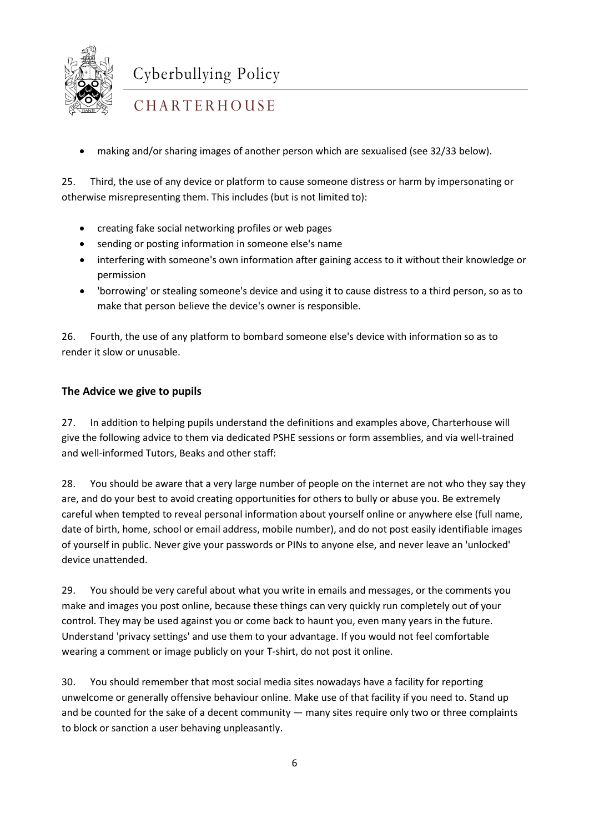

### CHARTERHOUSE

• making and/or sharing images of another person which are sexualised (see 32/33 below).

25. Third, the use of any device or platform to cause someone distress or harm by impersonating or otherwise misrepresenting them. This includes (but is not limited to):

- creating fake social networking profiles or web pages
- sending or posting information in someone else's name
- interfering with someone's own information after gaining access to it without their knowledge or permission
- 'borrowing' or stealing someone's device and using it to cause distress to a third person, so as to make that person believe the device's owner is responsible.

26. Fourth, the use of any platform to bombard someone else's device with information so as to render it slow or unusable.

#### **The Advice we give to pupils**

27. In addition to helping pupils understand the definitions and examples above, Charterhouse will give the following advice to them via dedicated PSHE sessions or form assemblies, and via well-trained and well-informed Tutors, Beaks and other staff:

28. You should be aware that a very large number of people on the internet are not who they say they are, and do your best to avoid creating opportunities for others to bully or abuse you. Be extremely careful when tempted to reveal personal information about yourself online or anywhere else (full name, date of birth, home, school or email address, mobile number), and do not post easily identifiable images of yourself in public. Never give your passwords or PINs to anyone else, and never leave an 'unlocked' device unattended.

29. You should be very careful about what you write in emails and messages, or the comments you make and images you post online, because these things can very quickly run completely out of your control. They may be used against you or come back to haunt you, even many years in the future. Understand 'privacy settings' and use them to your advantage. If you would not feel comfortable wearing a comment or image publicly on your T-shirt, do not post it online.

30. You should remember that most social media sites nowadays have a facility for reporting unwelcome or generally offensive behaviour online. Make use of that facility if you need to. Stand up and be counted for the sake of a decent community — many sites require only two or three complaints to block or sanction a user behaving unpleasantly.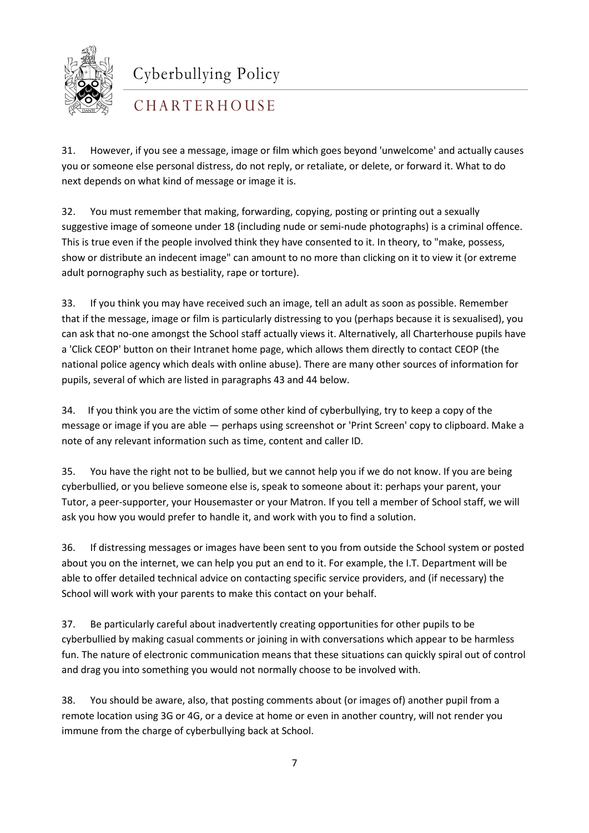

## CHARTERHOUSE

31. However, if you see a message, image or film which goes beyond 'unwelcome' and actually causes you or someone else personal distress, do not reply, or retaliate, or delete, or forward it. What to do next depends on what kind of message or image it is.

32. You must remember that making, forwarding, copying, posting or printing out a sexually suggestive image of someone under 18 (including nude or semi-nude photographs) is a criminal offence. This is true even if the people involved think they have consented to it. In theory, to "make, possess, show or distribute an indecent image" can amount to no more than clicking on it to view it (or extreme adult pornography such as bestiality, rape or torture).

33. If you think you may have received such an image, tell an adult as soon as possible. Remember that if the message, image or film is particularly distressing to you (perhaps because it is sexualised), you can ask that no-one amongst the School staff actually views it. Alternatively, all Charterhouse pupils have a 'Click CEOP' button on their Intranet home page, which allows them directly to contact CEOP (the national police agency which deals with online abuse). There are many other sources of information for pupils, several of which are listed in paragraphs 43 and 44 below.

34. If you think you are the victim of some other kind of cyberbullying, try to keep a copy of the message or image if you are able — perhaps using screenshot or 'Print Screen' copy to clipboard. Make a note of any relevant information such as time, content and caller ID.

35. You have the right not to be bullied, but we cannot help you if we do not know. If you are being cyberbullied, or you believe someone else is, speak to someone about it: perhaps your parent, your Tutor, a peer-supporter, your Housemaster or your Matron. If you tell a member of School staff, we will ask you how you would prefer to handle it, and work with you to find a solution.

1 School will work with your parents to make this contact on your behalf. 36. If distressing messages or images have been sent to you from outside the School system or posted about you on the internet, we can help you put an end to it. For example, the I.T. Department will be able to offer detailed technical advice on contacting specific service providers, and (if necessary) the

37. Be particularly careful about inadvertently creating opportunities for other pupils to be cyberbullied by making casual comments or joining in with conversations which appear to be harmless fun. The nature of electronic communication means that these situations can quickly spiral out of control and drag you into something you would not normally choose to be involved with.

38. You should be aware, also, that posting comments about (or images of) another pupil from a remote location using 3G or 4G, or a device at home or even in another country, will not render you immune from the charge of cyberbullying back at School.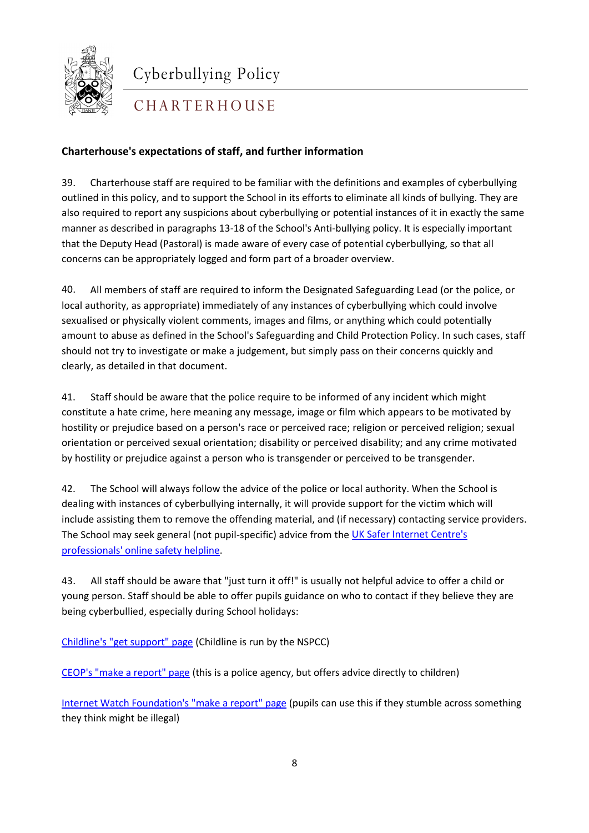

CHARTERHOUSE

### **Charterhouse's expectations of staff, and further information**

39. Charterhouse staff are required to be familiar with the definitions and examples of cyberbullying outlined in this policy, and to support the School in its efforts to eliminate all kinds of bullying. They are also required to report any suspicions about cyberbullying or potential instances of it in exactly the same manner as described in paragraphs 13-18 of the School's Anti-bullying policy. It is especially important that the Deputy Head (Pastoral) is made aware of every case of potential cyberbullying, so that all concerns can be appropriately logged and form part of a broader overview.

40. All members of staff are required to inform the Designated Safeguarding Lead (or the police, or local authority, as appropriate) immediately of any instances of cyberbullying which could involve sexualised or physically violent comments, images and films, or anything which could potentially amount to abuse as defined in the School's Safeguarding and Child Protection Policy. In such cases, staff should not try to investigate or make a judgement, but simply pass on their concerns quickly and clearly, as detailed in that document.

41. Staff should be aware that the police require to be informed of any incident which might constitute a hate crime, here meaning any message, image or film which appears to be motivated by hostility or prejudice based on a person's race or perceived race; religion or perceived religion; sexual orientation or perceived sexual orientation; disability or perceived disability; and any crime motivated by hostility or prejudice against a person who is transgender or perceived to be transgender.

42. The School will always follow the advice of the police or local authority. When the School is dealing with instances of cyberbullying internally, it will provide support for the victim which will include assisting them to remove the offending material, and (if necessary) contacting service providers. The School may seek general (not pupil-specific) advice from the [UK Safer Internet Centre's](https://www.saferinternet.org.uk/contact-us#:%7E:text=For%20media%20and%20press%20enquiries,%40saferinternet.org.uk.)  [professionals' online safety helpline.](https://www.saferinternet.org.uk/contact-us#:%7E:text=For%20media%20and%20press%20enquiries,%40saferinternet.org.uk.)

1 young person. Staff should be able to offer pupils guidance on who to contact if they believe they are 43. All staff should be aware that "just turn it off!" is usually not helpful advice to offer a child or being cyberbullied, especially during School holidays:

[Childline's "get support" page](https://www.childline.org.uk/get-support/) (Childline is run by the NSPCC)

[CEOP's "make a report" page](https://ceop.police.uk/safety-centre/) (this is a police agency, but offers advice directly to children)

[Internet Watch Foundation's "make a report" page](https://report.iwf.org.uk/en) (pupils can use this if they stumble across something they think might be illegal)